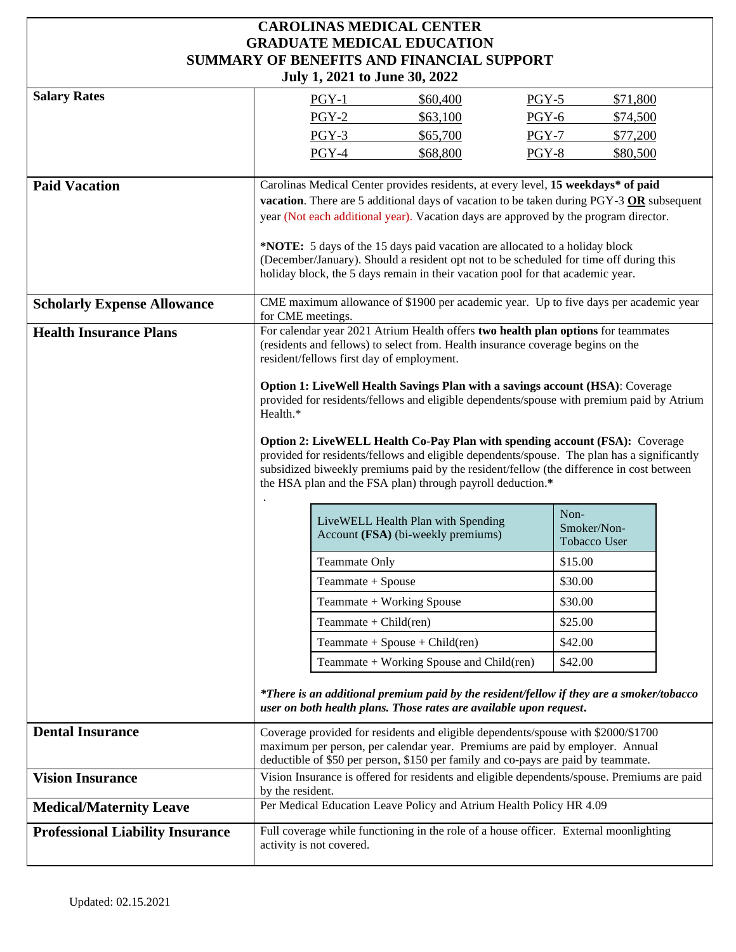## **CAROLINAS MEDICAL CENTER GRADUATE MEDICAL EDUCATION SUMMARY OF BENEFITS AND FINANCIAL SUPPORT July 1, 2021 to June 30, 2022**

| JUIY 1, 2021 to Julie 30, 2022          |                                                                                                                                                                                                                   |                          |                                                                                   |         |              |  |
|-----------------------------------------|-------------------------------------------------------------------------------------------------------------------------------------------------------------------------------------------------------------------|--------------------------|-----------------------------------------------------------------------------------|---------|--------------|--|
| <b>Salary Rates</b>                     |                                                                                                                                                                                                                   | $PGY-1$                  | \$60,400                                                                          | $PGY-5$ | \$71,800     |  |
|                                         |                                                                                                                                                                                                                   | PGY-2                    | \$63,100                                                                          | PGY-6   | \$74,500     |  |
|                                         |                                                                                                                                                                                                                   | PGY-3                    | \$65,700                                                                          | PGY-7   | \$77,200     |  |
|                                         |                                                                                                                                                                                                                   | PGY-4                    | \$68,800                                                                          | PGY-8   | \$80,500     |  |
| <b>Paid Vacation</b>                    |                                                                                                                                                                                                                   |                          |                                                                                   |         |              |  |
|                                         | Carolinas Medical Center provides residents, at every level, 15 weekdays* of paid<br>vacation. There are 5 additional days of vacation to be taken during PGY-3 OR subsequent                                     |                          |                                                                                   |         |              |  |
|                                         | year (Not each additional year). Vacation days are approved by the program director.                                                                                                                              |                          |                                                                                   |         |              |  |
|                                         | *NOTE: 5 days of the 15 days paid vacation are allocated to a holiday block                                                                                                                                       |                          |                                                                                   |         |              |  |
|                                         | (December/January). Should a resident opt not to be scheduled for time off during this                                                                                                                            |                          |                                                                                   |         |              |  |
|                                         | holiday block, the 5 days remain in their vacation pool for that academic year.                                                                                                                                   |                          |                                                                                   |         |              |  |
| <b>Scholarly Expense Allowance</b>      | CME maximum allowance of \$1900 per academic year. Up to five days per academic year                                                                                                                              |                          |                                                                                   |         |              |  |
|                                         | for CME meetings.                                                                                                                                                                                                 |                          |                                                                                   |         |              |  |
| <b>Health Insurance Plans</b>           | For calendar year 2021 Atrium Health offers two health plan options for teammates<br>(residents and fellows) to select from. Health insurance coverage begins on the<br>resident/fellows first day of employment. |                          |                                                                                   |         |              |  |
|                                         |                                                                                                                                                                                                                   |                          |                                                                                   |         |              |  |
|                                         | Option 1: LiveWell Health Savings Plan with a savings account (HSA): Coverage                                                                                                                                     |                          |                                                                                   |         |              |  |
|                                         | provided for residents/fellows and eligible dependents/spouse with premium paid by Atrium                                                                                                                         |                          |                                                                                   |         |              |  |
|                                         | Health.*                                                                                                                                                                                                          |                          |                                                                                   |         |              |  |
|                                         | Option 2: LiveWELL Health Co-Pay Plan with spending account (FSA): Coverage                                                                                                                                       |                          |                                                                                   |         |              |  |
|                                         | provided for residents/fellows and eligible dependents/spouse. The plan has a significantly<br>subsidized biweekly premiums paid by the resident/fellow (the difference in cost between                           |                          |                                                                                   |         |              |  |
|                                         | the HSA plan and the FSA plan) through payroll deduction.*                                                                                                                                                        |                          |                                                                                   |         |              |  |
|                                         |                                                                                                                                                                                                                   |                          |                                                                                   |         |              |  |
|                                         |                                                                                                                                                                                                                   |                          | LiveWELL Health Plan with Spending                                                | Non-    | Smoker/Non-  |  |
|                                         |                                                                                                                                                                                                                   |                          | Account (FSA) (bi-weekly premiums)                                                |         | Tobacco User |  |
|                                         |                                                                                                                                                                                                                   | <b>Teammate Only</b>     |                                                                                   | \$15.00 |              |  |
|                                         |                                                                                                                                                                                                                   | Teammate + Spouse        |                                                                                   | \$30.00 |              |  |
|                                         |                                                                                                                                                                                                                   |                          | Teammate + Working Spouse                                                         | \$30.00 |              |  |
|                                         |                                                                                                                                                                                                                   | Teammate + Child(ren)    |                                                                                   | \$25.00 |              |  |
|                                         |                                                                                                                                                                                                                   |                          | Teammate + Spouse + Child(ren)                                                    | \$42.00 |              |  |
|                                         |                                                                                                                                                                                                                   |                          | Teammate + Working Spouse and Child(ren)                                          | \$42.00 |              |  |
|                                         |                                                                                                                                                                                                                   |                          |                                                                                   |         |              |  |
|                                         | *There is an additional premium paid by the resident/fellow if they are a smoker/tobacco<br>user on both health plans. Those rates are available upon request.                                                    |                          |                                                                                   |         |              |  |
| <b>Dental Insurance</b>                 |                                                                                                                                                                                                                   |                          | Coverage provided for residents and eligible dependents/spouse with \$2000/\$1700 |         |              |  |
|                                         |                                                                                                                                                                                                                   |                          | maximum per person, per calendar year. Premiums are paid by employer. Annual      |         |              |  |
| <b>Vision Insurance</b>                 | deductible of \$50 per person, \$150 per family and co-pays are paid by teammate.                                                                                                                                 |                          |                                                                                   |         |              |  |
|                                         | Vision Insurance is offered for residents and eligible dependents/spouse. Premiums are paid<br>by the resident.                                                                                                   |                          |                                                                                   |         |              |  |
| <b>Medical/Maternity Leave</b>          | Per Medical Education Leave Policy and Atrium Health Policy HR 4.09                                                                                                                                               |                          |                                                                                   |         |              |  |
| <b>Professional Liability Insurance</b> | Full coverage while functioning in the role of a house officer. External moonlighting                                                                                                                             |                          |                                                                                   |         |              |  |
|                                         |                                                                                                                                                                                                                   | activity is not covered. |                                                                                   |         |              |  |